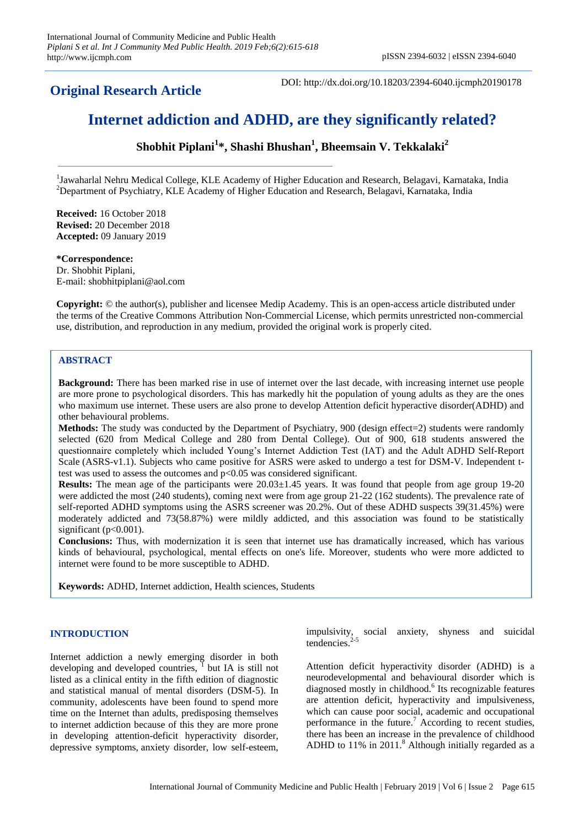**Original Research Article**

DOI: http://dx.doi.org/10.18203/2394-6040.ijcmph20190178

# **Internet addiction and ADHD, are they significantly related?**

**Shobhit Piplani<sup>1</sup> \*, Shashi Bhushan<sup>1</sup> , Bheemsain V. Tekkalaki<sup>2</sup>**

<sup>1</sup>Jawaharlal Nehru Medical College, KLE Academy of Higher Education and Research, Belagavi, Karnataka, India <sup>2</sup>Department of Psychiatry, KLE Academy of Higher Education and Research, Belagavi, Karnataka, India

**Received:** 16 October 2018 **Revised:** 20 December 2018 **Accepted:** 09 January 2019

## **\*Correspondence:**

Dr. Shobhit Piplani, E-mail: shobhitpiplani@aol.com

**Copyright:** © the author(s), publisher and licensee Medip Academy. This is an open-access article distributed under the terms of the Creative Commons Attribution Non-Commercial License, which permits unrestricted non-commercial use, distribution, and reproduction in any medium, provided the original work is properly cited.

# **ABSTRACT**

**Background:** There has been marked rise in use of internet over the last decade, with increasing internet use people are more prone to psychological disorders. This has markedly hit the population of young adults as they are the ones who maximum use internet. These users are also prone to develop Attention deficit hyperactive disorder(ADHD) and other behavioural problems.

**Methods:** The study was conducted by the Department of Psychiatry, 900 (design effect=2) students were randomly selected (620 from Medical College and 280 from Dental College). Out of 900, 618 students answered the questionnaire completely which included Young's Internet Addiction Test (IAT) and the Adult ADHD Self-Report Scale (ASRS-v1.1). Subjects who came positive for ASRS were asked to undergo a test for DSM-V. Independent ttest was used to assess the outcomes and p<0.05 was considered significant.

**Results:** The mean age of the participants were  $20.03\pm1.45$  years. It was found that people from age group 19-20 were addicted the most (240 students), coming next were from age group 21-22 (162 students). The prevalence rate of self-reported ADHD symptoms using the ASRS screener was 20.2%. Out of these ADHD suspects 39(31.45%) were moderately addicted and 73(58.87%) were mildly addicted, and this association was found to be statistically significant  $(p<0.001)$ .

**Conclusions:** Thus, with modernization it is seen that internet use has dramatically increased, which has various kinds of behavioural, psychological, mental effects on one's life. Moreover, students who were more addicted to internet were found to be more susceptible to ADHD.

**Keywords:** ADHD, Internet addiction, Health sciences, Students

# **INTRODUCTION**

Internet addiction a newly emerging disorder in both developing and developed countries,  $\frac{1}{1}$  but IA is still not listed as a clinical entity in the fifth edition of diagnostic and statistical manual of mental disorders (DSM-5). In community, adolescents have been found to spend more time on the Internet than adults, predisposing themselves to internet addiction because of this they are more prone in developing attention-deficit hyperactivity disorder, depressive symptoms, anxiety disorder, low self-esteem, impulsivity, social anxiety, shyness and suicidal tendencies. $2.5$ 

Attention deficit hyperactivity disorder (ADHD) is a neurodevelopmental and behavioural disorder which is diagnosed mostly in childhood.<sup>6</sup> Its recognizable features are attention deficit, hyperactivity and impulsiveness, which can cause poor social, academic and occupational performance in the future.<sup>7</sup> According to recent studies, there has been an increase in the prevalence of childhood ADHD to 11% in 2011.<sup>8</sup> Although initially regarded as a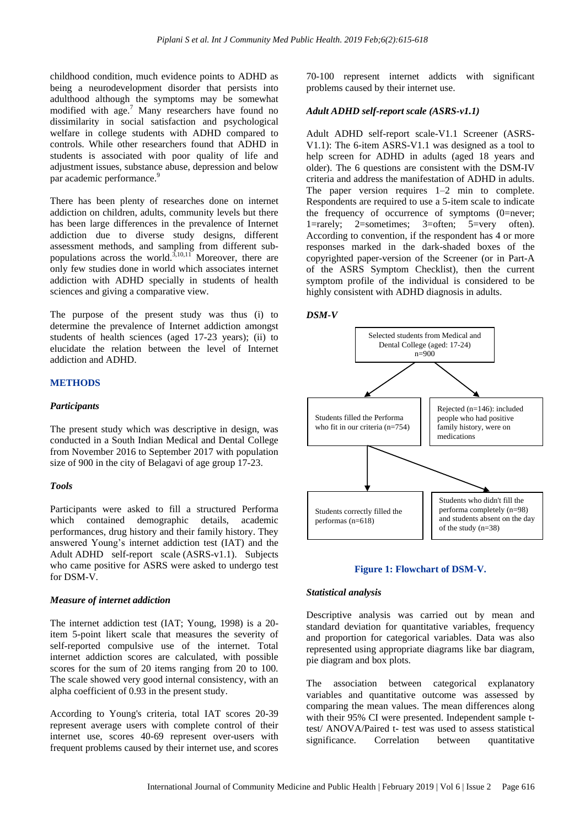childhood condition, much evidence points to ADHD as being a neurodevelopment disorder that persists into adulthood although the symptoms may be somewhat modified with age.<sup>7</sup> Many researchers have found no dissimilarity in social satisfaction and psychological welfare in college students with ADHD compared to controls. While other researchers found that ADHD in students is associated with poor quality of life and adjustment issues, substance abuse, depression and below par academic performance.<sup>9</sup>

There has been plenty of researches done on internet addiction on children, adults, community levels but there has been large differences in the prevalence of Internet addiction due to diverse study designs, different assessment methods, and sampling from different subpopulations across the world. $3,10,11$  Moreover, there are only few studies done in world which associates internet addiction with ADHD specially in students of health sciences and giving a comparative view.

The purpose of the present study was thus (i) to determine the prevalence of Internet addiction amongst students of health sciences (aged 17-23 years); (ii) to elucidate the relation between the level of Internet addiction and ADHD.

# **METHODS**

## *Participants*

The present study which was descriptive in design, was conducted in a South Indian Medical and Dental College from November 2016 to September 2017 with population size of 900 in the city of Belagavi of age group 17-23.

#### *Tools*

Participants were asked to fill a structured Performa which contained demographic details, academic performances, drug history and their family history. They answered Young's internet addiction test (IAT) and the Adult ADHD self-report scale (ASRS-v1.1). Subjects who came positive for ASRS were asked to undergo test for DSM-V<sub>.</sub>

#### *Measure of internet addiction*

The internet addiction test (IAT; Young, 1998) is a 20 item 5-point likert scale that measures the severity of self-reported compulsive use of the internet. Total internet addiction scores are calculated, with possible scores for the sum of 20 items ranging from 20 to 100. The scale showed very good internal consistency, with an alpha coefficient of 0.93 in the present study.

According to Young's criteria, total IAT scores 20-39 represent average users with complete control of their internet use, scores 40-69 represent over-users with frequent problems caused by their internet use, and scores 70-100 represent internet addicts with significant problems caused by their internet use.

## *Adult ADHD self-report scale (ASRS-v1.1)*

Adult ADHD self-report scale-V1.1 Screener (ASRS-V1.1): The 6-item ASRS-V1.1 was designed as a tool to help screen for ADHD in adults (aged 18 years and older). The 6 questions are consistent with the DSM-IV criteria and address the manifestation of ADHD in adults. The paper version requires  $1-2$  min to complete. Respondents are required to use a 5-item scale to indicate the frequency of occurrence of symptoms (0=never; 1=rarely; 2=sometimes; 3=often; 5=very often). According to convention, if the respondent has 4 or more responses marked in the dark-shaded boxes of the copyrighted paper-version of the Screener (or in Part-A of the ASRS Symptom Checklist), then the current symptom profile of the individual is considered to be highly consistent with ADHD diagnosis in adults.





#### **Figure 1: Flowchart of DSM-V.**

#### *Statistical analysis*

Descriptive analysis was carried out by mean and standard deviation for quantitative variables, frequency and proportion for categorical variables. Data was also represented using appropriate diagrams like bar diagram, pie diagram and box plots.

The association between categorical explanatory variables and quantitative outcome was assessed by comparing the mean values. The mean differences along with their 95% CI were presented. Independent sample ttest/ ANOVA/Paired t- test was used to assess statistical significance. Correlation between quantitative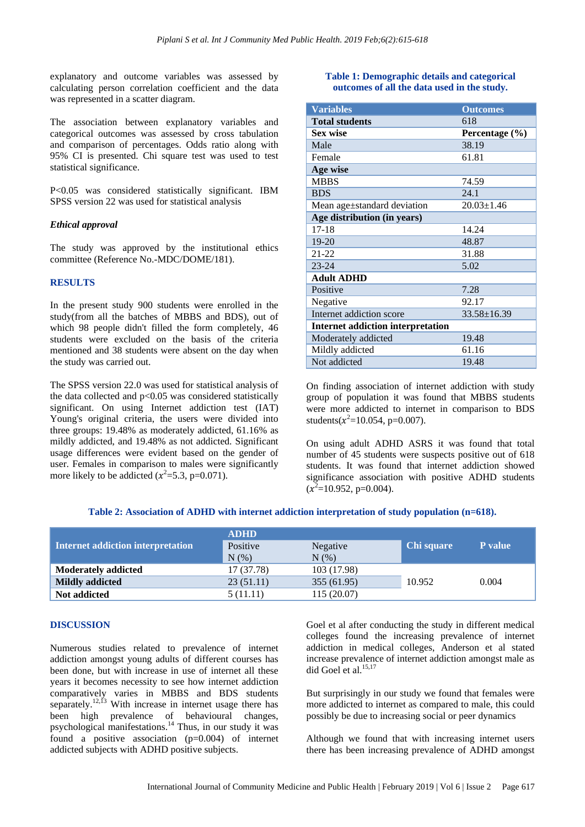explanatory and outcome variables was assessed by calculating person correlation coefficient and the data was represented in a scatter diagram.

The association between explanatory variables and categorical outcomes was assessed by cross tabulation and comparison of percentages. Odds ratio along with 95% CI is presented. Chi square test was used to test statistical significance.

P<0.05 was considered statistically significant. IBM SPSS version 22 was used for statistical analysis

## *Ethical approval*

The study was approved by the institutional ethics committee (Reference No.-MDC/DOME/181).

## **RESULTS**

In the present study 900 students were enrolled in the study(from all the batches of MBBS and BDS), out of which 98 people didn't filled the form completely, 46 students were excluded on the basis of the criteria mentioned and 38 students were absent on the day when the study was carried out.

The SPSS version 22.0 was used for statistical analysis of the data collected and  $p<0.05$  was considered statistically significant. On using Internet addiction test (IAT) Young's original criteria, the users were divided into three groups: 19.48% as moderately addicted, 61.16% as mildly addicted, and 19.48% as not addicted. Significant usage differences were evident based on the gender of user. Females in comparison to males were significantly more likely to be addicted ( $x^2$ =5.3, p=0.071).

# **Table 1: Demographic details and categorical outcomes of all the data used in the study.**

| <b>Variables</b>                         | <b>Outcomes</b>    |  |  |  |
|------------------------------------------|--------------------|--|--|--|
| <b>Total students</b>                    | 618                |  |  |  |
| <b>Sex wise</b>                          | Percentage $(\% )$ |  |  |  |
| Male                                     | 38.19              |  |  |  |
| Female                                   | 61.81              |  |  |  |
| Age wise                                 |                    |  |  |  |
| <b>MBBS</b>                              | 74.59              |  |  |  |
| <b>BDS</b>                               | 24.1               |  |  |  |
| Mean age±standard deviation              | $20.03 \pm 1.46$   |  |  |  |
| Age distribution (in years)              |                    |  |  |  |
| $17 - 18$                                | 14.24              |  |  |  |
| 19-20                                    | 48.87              |  |  |  |
| 21-22                                    | 31.88              |  |  |  |
| $23 - 24$                                | 5.02               |  |  |  |
| <b>Adult ADHD</b>                        |                    |  |  |  |
| Positive                                 | 7.28               |  |  |  |
| Negative                                 | 92.17              |  |  |  |
| Internet addiction score                 | $33.58 \pm 16.39$  |  |  |  |
| <b>Internet addiction interpretation</b> |                    |  |  |  |
| Moderately addicted                      | 19.48              |  |  |  |
| Mildly addicted                          | 61.16              |  |  |  |
| Not addicted                             | 19.48              |  |  |  |

On finding association of internet addiction with study group of population it was found that MBBS students were more addicted to internet in comparison to BDS students( $x^2$ =10.054, p=0.007).

On using adult ADHD ASRS it was found that total number of 45 students were suspects positive out of 618 students. It was found that internet addiction showed significance association with positive ADHD students  $(x^2=10.952, p=0.004)$ .

## **Table 2: Association of ADHD with internet addiction interpretation of study population (n=618).**

|                                   | <b>ADHD</b> |             |            |                |
|-----------------------------------|-------------|-------------|------------|----------------|
| Internet addiction interpretation | Positive    | Negative    | Chi square | <b>P</b> value |
|                                   | $N$ $(\%)$  | $N$ $(\%)$  |            |                |
| <b>Moderately addicted</b>        | 17 (37.78)  | 103 (17.98) |            |                |
| <b>Mildly addicted</b>            | 23(51.11)   | 355(61.95)  | 10.952     | 0.004          |
| Not addicted                      | 5(11.11)    | 115 (20.07) |            |                |

#### **DISCUSSION**

Numerous studies related to prevalence of internet addiction amongst young adults of different courses has been done, but with increase in use of internet all these years it becomes necessity to see how internet addiction comparatively varies in MBBS and BDS students separately.<sup>12,13</sup> With increase in internet usage there has been high prevalence of behavioural changes, psychological manifestations.<sup>14</sup> Thus, in our study it was found a positive association  $(p=0.004)$  of internet addicted subjects with ADHD positive subjects.

Goel et al after conducting the study in different medical colleges found the increasing prevalence of internet addiction in medical colleges, Anderson et al stated increase prevalence of internet addiction amongst male as did Goel et al.<sup>15,17</sup>

But surprisingly in our study we found that females were more addicted to internet as compared to male, this could possibly be due to increasing social or peer dynamics

Although we found that with increasing internet users there has been increasing prevalence of ADHD amongst